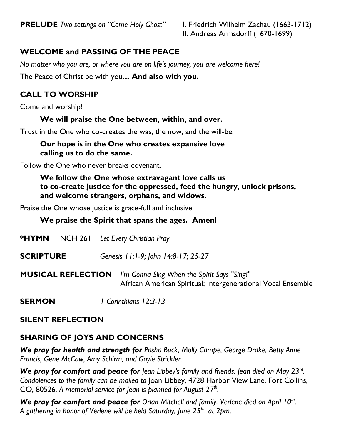**PRELUDE** *Two settings on "Come Holy Ghost"* I. Friedrich Wilhelm Zachau (1663-1712)

II. Andreas Armsdorff (1670-1699)

# **WELCOME and PASSING OF THE PEACE**

*No matter who you are, or where you are on life's journey, you are welcome here!*

The Peace of Christ be with you.... **And also with you.**

# **CALL TO WORSHIP**

Come and worship!

#### **We will praise the One between, within, and over.**

Trust in the One who co-creates the was, the now, and the will-be.

#### **Our hope is in the One who creates expansive love calling us to do the same.**

Follow the One who never breaks covenant.

### **We follow the One whose extravagant love calls us to co-create justice for the oppressed, feed the hungry, unlock prisons, and welcome strangers, orphans, and widows.**

Praise the One whose justice is grace-full and inclusive.

### **We praise the Spirit that spans the ages. Amen!**

|                  |  |                                     | <b>*HYMN</b> NCH 261 Let Every Christian Pray                                                                                         |
|------------------|--|-------------------------------------|---------------------------------------------------------------------------------------------------------------------------------------|
| <b>SCRIPTURE</b> |  | Genesis 11:1-9; John 14:8-17; 25-27 |                                                                                                                                       |
|                  |  |                                     | <b>MUSICAL REFLECTION</b> I'm Gonna Sing When the Spirit Says "Sing!"<br>African American Spiritual; Intergenerational Vocal Ensemble |
| <b>SERMON</b>    |  |                                     | 1 Corinthians 12:3-13                                                                                                                 |

### **SILENT REFLECTION**

## **SHARING OF JOYS AND CONCERNS**

*We pray for health and strength for Pasha Buck, Molly Campe, George Drake, Betty Anne Francis, Gene McCaw, Amy Schirm, and Gayle Strickler.*

We pray for comfort and peace for Jean Libbey's family and friends. Jean died on May 23<sup>rd</sup>. *Condolences to the family can be mailed to* Joan Libbey, 4728 Harbor View Lane, Fort Collins, CO, 80526. *A memorial service for Jean is planned for August 27th .*

We pray for comfort and peace for Orlan Mitchell and family. Verlene died on April 10<sup>th</sup>. *A gathering in honor of Verlene will be held Saturday, June 25th, at 2pm.*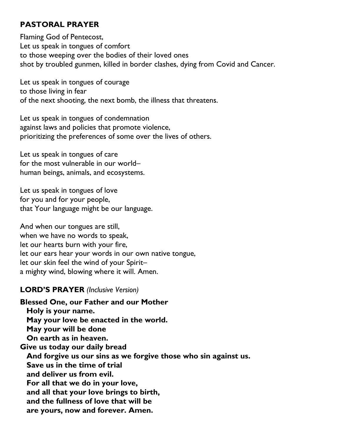## **PASTORAL PRAYER**

Flaming God of Pentecost, Let us speak in tongues of comfort to those weeping over the bodies of their loved ones shot by troubled gunmen, killed in border clashes, dying from Covid and Cancer.

Let us speak in tongues of courage to those living in fear of the next shooting, the next bomb, the illness that threatens.

Let us speak in tongues of condemnation against laws and policies that promote violence, prioritizing the preferences of some over the lives of others.

Let us speak in tongues of care for the most vulnerable in our world– human beings, animals, and ecosystems.

Let us speak in tongues of love for you and for your people, that Your language might be our language.

And when our tongues are still, when we have no words to speak, let our hearts burn with your fire, let our ears hear your words in our own native tongue, let our skin feel the wind of your Spirit– a mighty wind, blowing where it will. Amen.

### **LORD'S PRAYER** *(Inclusive Version)*

**Blessed One, our Father and our Mother Holy is your name. May your love be enacted in the world. May your will be done On earth as in heaven. Give us today our daily bread And forgive us our sins as we forgive those who sin against us. Save us in the time of trial and deliver us from evil. For all that we do in your love, and all that your love brings to birth, and the fullness of love that will be are yours, now and forever. Amen.**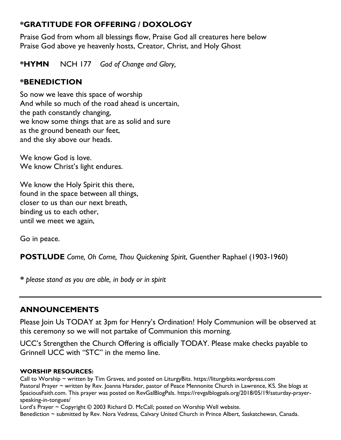# **\*GRATITUDE FOR OFFERING / DOXOLOGY**

Praise God from whom all blessings flow, Praise God all creatures here below Praise God above ye heavenly hosts, Creator, Christ, and Holy Ghost

**\*HYMN** NCH 177 *God of Change and Glory,* 

## **\*BENEDICTION**

So now we leave this space of worship And while so much of the road ahead is uncertain, the path constantly changing, we know some things that are as solid and sure as the ground beneath our feet, and the sky above our heads.

We know God is love. We know Christ's light endures.

We know the Holy Spirit this there, found in the space between all things, closer to us than our next breath, binding us to each other, until we meet we again,

Go in peace.

**POSTLUDE** *Come, Oh Come, Thou Quickening Spirit*, Guenther Raphael (1903-1960)

*\* please stand as you are able, in body or in spirit*

## **ANNOUNCEMENTS**

Please Join Us TODAY at 3pm for Henry's Ordination! Holy Communion will be observed at this ceremony so we will not partake of Communion this morning.

UCC's Strengthen the Church Offering is officially TODAY. Please make checks payable to Grinnell UCC with "STC" in the memo line.

#### **WORSHIP RESOURCES:**

Call to Worship ~ written by Tim Graves, and posted on LiturgyBits. [https://liturgybits.wordpress.com](https://liturgybits.wordpress.com/) Pastoral Prayer ~ written by Rev. Joanna Harader, pastor of Peace Mennonite Church in Lawrence, KS. She blogs at [SpaciousFaith.com.](http://www.spaciousfaith.com/) This prayer was posted on RevGalBlogPals. [https://revgalblogpals.org/2018/05/19/saturday-prayer](https://revgalblogpals.org/2018/05/19/saturday-prayer-speaking-in-tongues/)[speaking-in-tongues/](https://revgalblogpals.org/2018/05/19/saturday-prayer-speaking-in-tongues/)

Lord's Prayer ~ Copyright © 2003 Richard D. McCall; posted on [Worship Well](http://www.theworshipwell.org/pdf/WOR_McCall3.pdf) website. Benediction ~ submitted by Rev. Nora Vedress, Calvary United Church in Prince Albert, Saskatchewan, Canada.